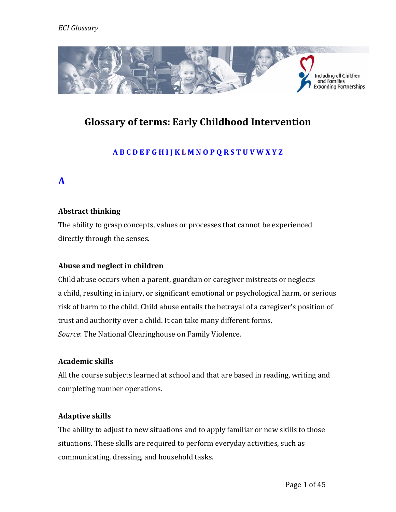

# **Glossary of terms: Early Childhood Intervention**

## **A B C D E F G H I J K L M N O P Q R S T U V W X Y Z**

## **A**

## **Abstract thinking**

The ability to grasp concepts, values or processes that cannot be experienced directly through the senses.

## **Abuse and neglect in children**

Child abuse occurs when a parent, guardian or caregiver mistreats or neglects a child, resulting in injury, or significant emotional or psychological harm, or serious risk of harm to the child. Child abuse entails the betrayal of a caregiver's position of trust and authority over a child. It can take many different forms. *Source*: The National Clearinghouse on Family Violence.

## **Academic skills**

All the course subjects learned at school and that are based in reading, writing and completing number operations.

## **Adaptive skills**

The ability to adjust to new situations and to apply familiar or new skills to those situations. These skills are required to perform everyday activities, such as communicating, dressing, and household tasks.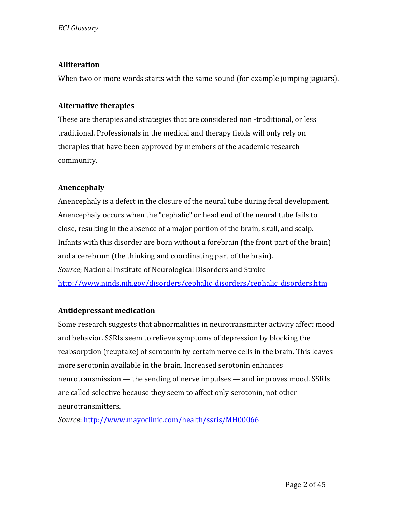## **Alliteration**

When two or more words starts with the same sound (for example jumping jaguars).

#### **Alternative therapies**

These are therapies and strategies that are considered non -traditional, or less traditional. Professionals in the medical and therapy fields will only rely on therapies that have been approved by members of the academic research community.

## **Anencephaly**

Anencephaly is a defect in the closure of the neural tube during fetal development. Anencephaly occurs when the "cephalic" or head end of the neural tube fails to close, resulting in the absence of a major portion of the brain, skull, and scalp. Infants with this disorder are born without a forebrain (the front part of the brain) and a cerebrum (the thinking and coordinating part of the brain). *Source*; National Institute of Neurological Disorders and Stroke [http://www.ninds.nih.gov/disorders/cephalic\\_disorders/cephalic\\_disorders.htm](http://www.ninds.nih.gov/disorders/cephalic_disorders/cephalic_disorders.htm)

## **Antidepressant medication**

Some research suggests that abnormalities in neurotransmitter activity affect mood and behavior. SSRIs seem to relieve symptoms of depression by blocking the reabsorption (reuptake) of serotonin by certain nerve cells in the brain. This leaves more serotonin available in the brain. Increased serotonin enhances neurotransmission — the sending of nerve impulses — and improves mood. SSRIs are called selective because they seem to affect only serotonin, not other neurotransmitters.

*Source*[: http://www.mayoclinic.com/health/ssris/MH00066](http://www.mayoclinic.com/health/ssris/MH00066)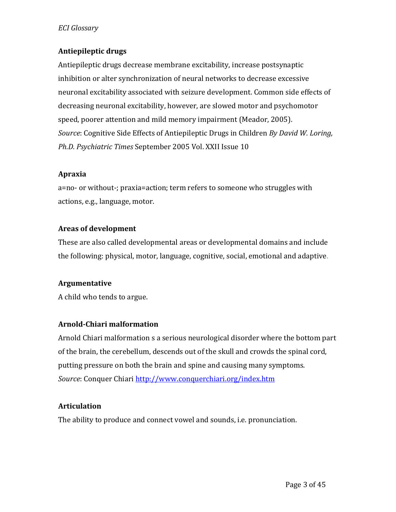## **Antiepileptic drugs**

Antiepileptic drugs decrease membrane excitability, increase postsynaptic inhibition or alter synchronization of neural networks to decrease excessive neuronal excitability associated with seizure development. Common side effects of decreasing neuronal excitability, however, are slowed motor and psychomotor speed, poorer attention and mild memory impairment (Meador, 2005). *Source*: Cognitive Side Effects of Antiepileptic Drugs in Children *By David W. Loring, Ph.D. Psychiatric Times* September 2005 Vol. XXII Issue 10

#### **Apraxia**

a=no- or without-; praxia=action; term refers to someone who struggles with actions, e.g., language, motor.

#### **Areas of development**

These are also called developmental areas or developmental domains and include the following: physical, motor, language, cognitive, social, emotional and adaptive.

## **Argumentative**

A child who tends to argue.

## **Arnold-Chiari malformation**

Arnold Chiari malformation s a serious neurological disorder where the bottom part of the brain, the cerebellum, descends out of the skull and crowds the spinal cord, putting pressure on both the brain and spine and causing many symptoms. *Source*: Conquer Chiar[i http://www.conquerchiari.org/index.htm](http://www.conquerchiari.org/index.htm)

## **Articulation**

The ability to produce and connect vowel and sounds, i.e. pronunciation.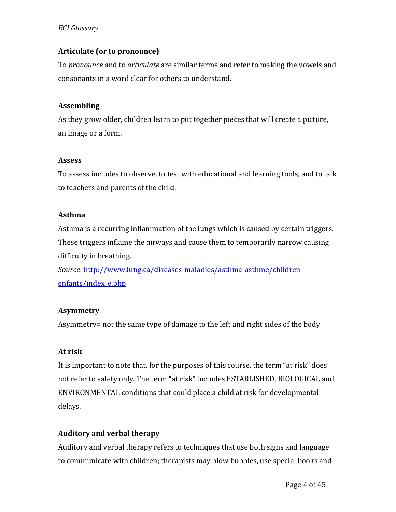#### **Articulate (or to pronounce)**

To *pronounce* and to *articulate* are similar terms and refer to making the vowels and consonants in a word clear for others to understand.

#### **Assembling**

As they grow older, children learn to put together pieces that will create a picture, an image or a form.

#### **Assess**

To assess includes to observe, to test with educational and learning tools, and to talk to teachers and parents of the child.

#### **Asthma**

Asthma is a recurring inflammation of the lungs which is caused by certain triggers. These triggers inflame the airways and cause them to temporarily narrow causing difficulty in breathing.

*Source*[: http://www.lung.ca/diseases-maladies/asthma-asthme/children](http://www.lung.ca/diseases-maladies/asthma-asthme/children-enfants/index_e.php)[enfants/index\\_e.php](http://www.lung.ca/diseases-maladies/asthma-asthme/children-enfants/index_e.php)

#### **Asymmetry**

Asymmetry= not the same type of damage to the left and right sides of the body

## **At risk**

It is important to note that, for the purposes of this course, the term "at risk" does not refer to safety only. The term "at risk" includes ESTABLISHED, BIOLOGICAL and ENVIRONMENTAL conditions that could place a child at risk for developmental delays.

## **Auditory and verbal therapy**

Auditory and verbal therapy refers to techniques that use both signs and language to communicate with children; therapists may blow bubbles, use special books and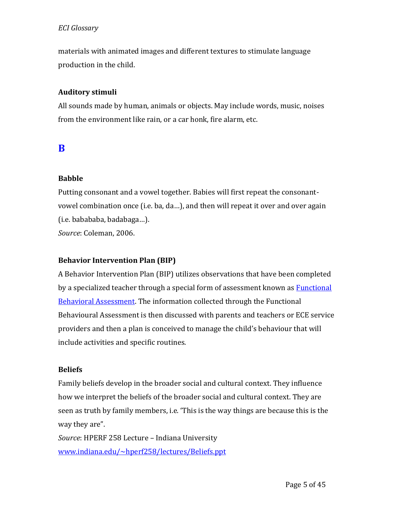materials with animated images and different textures to stimulate language production in the child.

## **Auditory stimuli**

All sounds made by human, animals or objects. May include words, music, noises from the environment like rain, or a car honk, fire alarm, etc.

## **B**

#### **Babble**

Putting consonant and a vowel together. Babies will first repeat the consonantvowel combination once (i.e. ba, da…), and then will repeat it over and over again (i.e. babababa, badabaga…). *Source*: Coleman, 2006.

# **Behavior Intervention Plan (BIP)**

A Behavior Intervention Plan (BIP) utilizes observations that have been completed by a specialized teacher through a special form of assessment known as **Functional** [Behavioral Assessment.](http://specialchildren.about.com/od/fba/g/FBA.htm) The information collected through the Functional Behavioural Assessment is then discussed with parents and teachers or ECE service providers and then a plan is conceived to manage the child's behaviour that will include activities and specific routines.

#### **Beliefs**

Family beliefs develop in the broader social and cultural context. They influence how we interpret the beliefs of the broader social and cultural context. They are seen as truth by family members, i.e. 'This is the way things are because this is the way they are".

*Source*: HPERF 258 Lecture – Indiana University [www.indiana.edu/~hperf258/lectures/Beliefs.ppt](http://www.indiana.edu/~hperf258/lectures/Beliefs.ppt)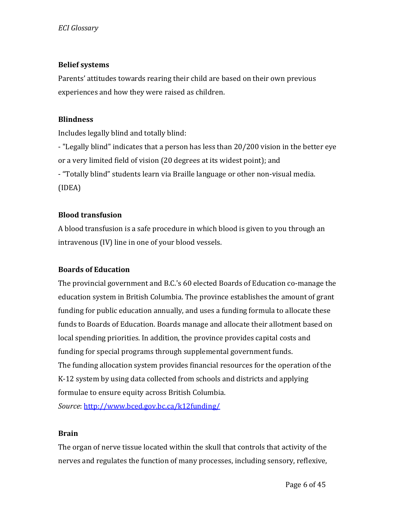#### **Belief systems**

Parents' attitudes towards rearing their child are based on their own previous experiences and how they were raised as children.

#### **Blindness**

Includes legally blind and totally blind:

- "Legally blind" indicates that a person has less than 20/200 vision in the better eye or a very limited field of vision (20 degrees at its widest point); and - "Totally blind" students learn via Braille language or other non-visual media. (IDEA)

## **Blood transfusion**

A blood transfusion is a safe procedure in which blood is given to you through an intravenous (IV) line in one of your blood vessels.

## **Boards of Education**

The provincial government and B.C.'s 60 elected Boards of Education co-manage the education system in British Columbia. The province establishes the amount of grant funding for public education annually, and uses a funding formula to allocate these funds to Boards of Education. Boards manage and allocate their allotment based on local spending priorities. In addition, the province provides capital costs and funding for special programs through supplemental government funds. The funding allocation system provides financial resources for the operation of the K-12 system by using data collected from schools and districts and applying formulae to ensure equity across British Columbia.

*Source*[: http://www.bced.gov.bc.ca/k12funding/](http://www.bced.gov.bc.ca/k12funding/)

#### **Brain**

The organ of nerve tissue located within the skull that controls that activity of the nerves and regulates the function of many processes, including sensory, reflexive,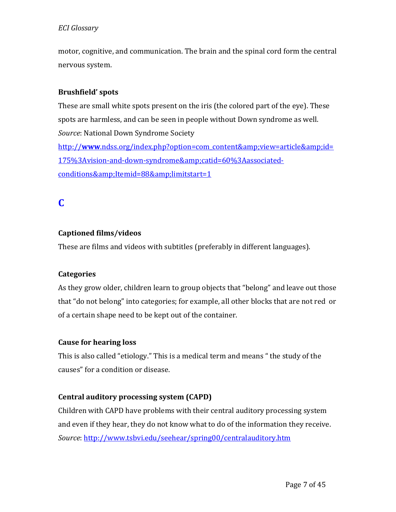motor, cognitive, and communication. The brain and the spinal cord form the central nervous system.

## **Brushfield' spots**

These are small white spots present on the iris (the colored part of the eye). These spots are harmless, and can be seen in people without Down syndrome as well. *Source*: National Down Syndrome Society http://www[.ndss.org/index.php?option=com\\_content&view=article&id=](http://www.ndss.org/index.php?option=com_content&view=article&id=175%3Avision-and-down-syndrome&catid=60%3Aassociated-conditions&Itemid=88&limitstart=1) [175%3Avision-and-down-syndrome&catid=60%3Aassociated](http://www.ndss.org/index.php?option=com_content&view=article&id=175%3Avision-and-down-syndrome&catid=60%3Aassociated-conditions&Itemid=88&limitstart=1)[conditions&Itemid=88&limitstart=1](http://www.ndss.org/index.php?option=com_content&view=article&id=175%3Avision-and-down-syndrome&catid=60%3Aassociated-conditions&Itemid=88&limitstart=1)

# **C**

## **Captioned films/videos**

These are films and videos with subtitles (preferably in different languages).

## **Categories**

As they grow older, children learn to group objects that "belong" and leave out those that "do not belong" into categories; for example, all other blocks that are not red or of a certain shape need to be kept out of the container.

## **Cause for hearing loss**

This is also called "etiology." This is a medical term and means " the study of the causes" for a condition or disease.

## **Central auditory processing system (CAPD)**

Children with CAPD have problems with their central auditory processing system and even if they hear, they do not know what to do of the information they receive. *Source*[: http://www.tsbvi.edu/seehear/spring00/centralauditory.htm](http://www.tsbvi.edu/seehear/spring00/centralauditory.htm)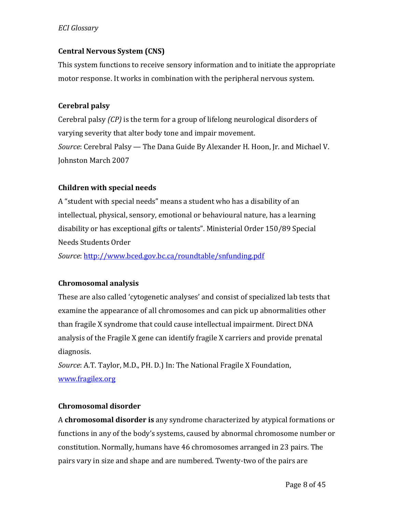#### **Central Nervous System (CNS)**

This system functions to receive sensory information and to initiate the appropriate motor response. It works in combination with the peripheral nervous system.

#### **Cerebral palsy**

Cerebral palsy *(CP)* is the term for a group of lifelong neurological disorders of varying severity that alter body tone and impair movement. *Source*: Cerebral Palsy — The Dana Guide By [Alexander H. Hoon, Jr.](http://www.dana.org/news/author.aspx?id=10250) and [Michael V.](http://www.dana.org/news/author.aspx?id=10264)  [Johnston](http://www.dana.org/news/author.aspx?id=10264) March 2007

#### **Children with special needs**

A "student with special needs" means a student who has a disability of an intellectual, physical, sensory, emotional or behavioural nature, has a learning disability or has exceptional gifts or talents". Ministerial Order 150/89 Special Needs Students Order

*Source*[: http://www.bced.gov.bc.ca/roundtable/snfunding.pdf](http://www.bced.gov.bc.ca/roundtable/snfunding.pdf)

## **Chromosomal analysis**

These are also called 'cytogenetic analyses' and consist of specialized lab tests that examine the appearance of all chromosomes and can pick up abnormalities other than fragile X syndrome that could cause intellectual impairment. Direct DNA analysis of the Fragile X gene can identify fragile X carriers and provide prenatal diagnosis.

*Source*: A.T. Taylor, M.D., PH. D.) In: The National Fragile X Foundation, [www.fragilex.org](http://www.fragilex.org/)

#### **Chromosomal disorder**

A **chromosomal disorder is** any syndrome characterized by atypical formations or functions in any of the body's systems, caused by abnormal chromosome number or constitution. Normally, humans have 46 chromosomes arranged in 23 pairs. The pairs vary in size and shape and are numbered. Twenty-two of the pairs are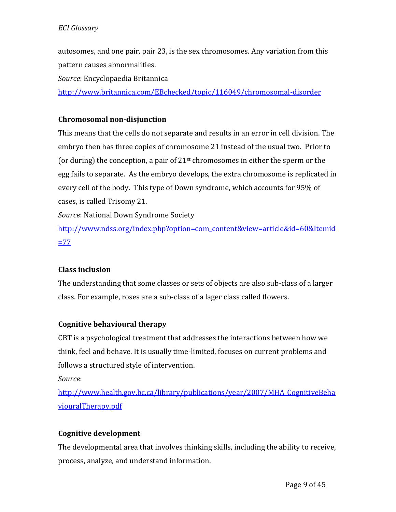autosomes, and one pair, pair 23, is the sex chromosomes. Any variation from this pattern causes abnormalities.

*Source*: Encyclopaedia Britannica

<http://www.britannica.com/EBchecked/topic/116049/chromosomal-disorder>

## **Chromosomal non-disjunction**

This means that the cells do not separate and results in an error in cell division. The embryo then has three copies of chromosome 21 instead of the usual two. Prior to (or during) the conception, a pair of  $21<sup>st</sup>$  chromosomes in either the sperm or the egg fails to separate. As the embryo develops, the extra chromosome is replicated in every cell of the body. This type of Down syndrome, which accounts for 95% of cases, is called Trisomy 21.

*Source*: National Down Syndrome Society

[http://www.ndss.org/index.php?option=com\\_content&view=article&id=60&Itemid](http://www.ndss.org/index.php?option=com_content&view=article&id=60&Itemid=77)  $=77$ 

## **Class inclusion**

The understanding that some classes or sets of objects are also sub-class of a larger class. For example, roses are a sub-class of a lager class called flowers.

## **Cognitive behavioural therapy**

CBT is a psychological treatment that addresses the interactions between how we think, feel and behave. It is usually time-limited, focuses on current problems and follows a structured style of intervention.

*Source*:

[http://www.health.gov.bc.ca/library/publications/year/2007/MHA\\_CognitiveBeha](http://www.health.gov.bc.ca/library/publications/year/2007/MHA_CognitiveBehaviouralTherapy.pdf) [viouralTherapy.pdf](http://www.health.gov.bc.ca/library/publications/year/2007/MHA_CognitiveBehaviouralTherapy.pdf)

## **Cognitive development**

The developmental area that involves thinking skills, including the ability to receive, process, analyze, and understand information.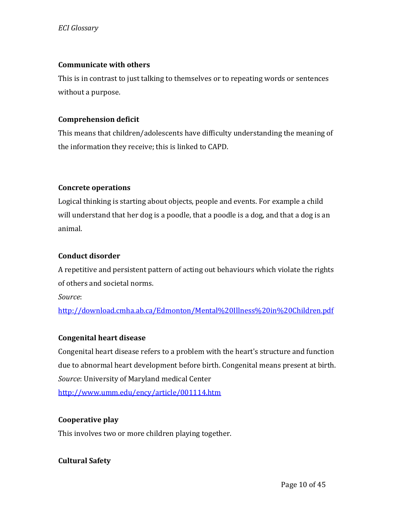#### **Communicate with others**

This is in contrast to just talking to themselves or to repeating words or sentences without a purpose.

#### **Comprehension deficit**

This means that children/adolescents have difficulty understanding the meaning of the information they receive; this is linked to CAPD.

## **Concrete operations**

Logical thinking is starting about objects, people and events. For example a child will understand that her dog is a poodle, that a poodle is a dog, and that a dog is an animal.

#### **Conduct disorder**

A repetitive and persistent pattern of acting out behaviours which violate the rights of others and societal norms.

*Source*:

<http://download.cmha.ab.ca/Edmonton/Mental%20Illness%20in%20Children.pdf>

## **Congenital heart disease**

Congenital heart disease refers to a problem with the heart's structure and function due to abnormal heart development before birth. Congenital means present at birth. *Source*: University of Maryland medical Center <http://www.umm.edu/ency/article/001114.htm>

#### **Cooperative play**

This involves two or more children playing together.

**Cultural Safety**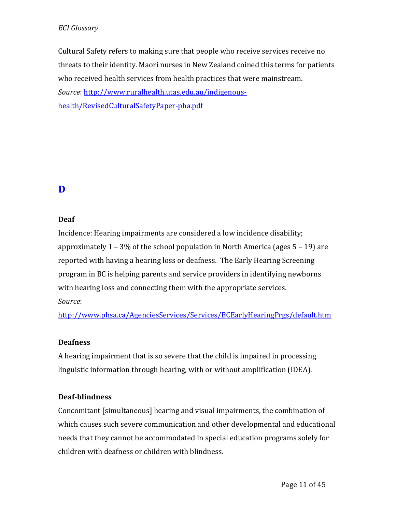Cultural Safety refers to making sure that people who receive services receive no threats to their identity. Maori nurses in New Zealand coined this terms for patients who received health services from health practices that were mainstream. *Source*[: http://www.ruralhealth.utas.edu.au/indigenous](http://www.ruralhealth.utas.edu.au/indigenous-health/RevisedCulturalSafetyPaper-pha.pdf)[health/RevisedCulturalSafetyPaper-pha.pdf](http://www.ruralhealth.utas.edu.au/indigenous-health/RevisedCulturalSafetyPaper-pha.pdf)

# **D**

## **Deaf**

Incidence: Hearing impairments are considered a low incidence disability; approximately 1 – 3% of the school population in North America (ages 5 – 19) are reported with having a hearing loss or deafness. The Early Hearing Screening program in BC is helping parents and service providers in identifying newborns with hearing loss and connecting them with the appropriate services. *Source*:

<http://www.phsa.ca/AgenciesServices/Services/BCEarlyHearingPrgs/default.htm>

## **Deafness**

A hearing impairment that is so severe that the child is impaired in processing linguistic information through hearing, with or without amplification (IDEA).

## **Deaf-blindness**

Concomitant [simultaneous] hearing and visual impairments, the combination of which causes such severe communication and other developmental and educational needs that they cannot be accommodated in special education programs solely for children with deafness or children with blindness.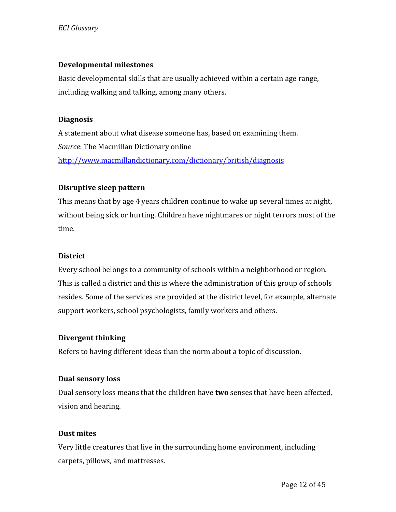#### **Developmental milestones**

Basic developmental skills that are usually achieved within a certain age range, including walking and talking, among many others.

#### **Diagnosis**

A statement about what disease someone has, based on examining them. *Source*: The Macmillan Dictionary online <http://www.macmillandictionary.com/dictionary/british/diagnosis>

## **Disruptive sleep pattern**

This means that by age 4 years children continue to wake up several times at night, without being sick or hurting. Children have nightmares or night terrors most of the time.

#### **District**

Every school belongs to a community of schools within a neighborhood or region. This is called a district and this is where the administration of this group of schools resides. Some of the services are provided at the district level, for example, alternate support workers, school psychologists, family workers and others.

#### **Divergent thinking**

Refers to having different ideas than the norm about a topic of discussion.

#### **Dual sensory loss**

Dual sensory loss means that the children have **two** senses that have been affected, vision and hearing.

## **Dust mites**

Very little creatures that live in the surrounding home environment, including carpets, pillows, and mattresses.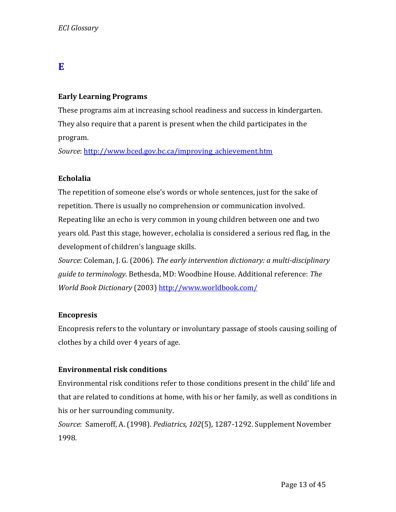# **E**

#### **Early Learning Programs**

These programs aim at increasing school readiness and success in kindergarten. They also require that a parent is present when the child participates in the program.

*Source*[: http://www.bced.gov.bc.ca/improving\\_achievement.htm](http://www.bced.gov.bc.ca/improving_achievement.htm)

#### **Echolalia**

The repetition of someone else's words or whole sentences, just for the sake of repetition. There is usually no comprehension or communication involved. Repeating like an echo is very common in young children between one and two years old. Past this stage, however, echolalia is considered a serious red flag, in the development of children's language skills.

*Source*: Coleman, J. G. (2006). *The early intervention dictionary: a multi-disciplinary guide to terminology*. Bethesda, MD: Woodbine House. Additional reference: *The World Book Dictionary* (2003)<http://www.worldbook.com/>

#### **Encopresis**

Encopresis refers to the voluntary or involuntary passage of stools causing soiling of clothes by a child over 4 years of age.

## **Environmental risk conditions**

Environmental risk conditions refer to those conditions present in the child' life and that are related to conditions at home, with his or her family, as well as conditions in his or her surrounding community.

*Source*: Sameroff, A. (1998). *Pediatrics, 102*(5), 1287-1292. Supplement November 1998.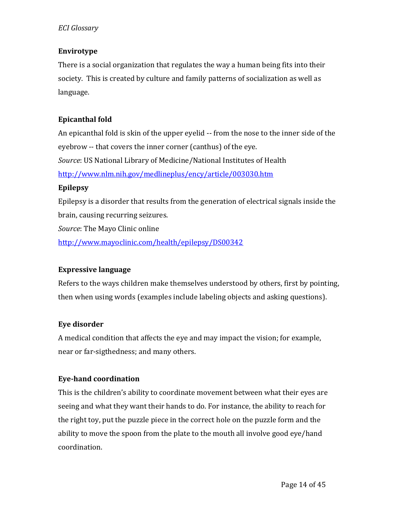#### **Envirotype**

There is a social organization that regulates the way a human being fits into their society. This is created by culture and family patterns of socialization as well as language.

## **Epicanthal fold**

An epicanthal fold is skin of the upper eyelid -- from the nose to the inner side of the eyebrow -- that covers the inner corner (canthus) of the eye. *Source*: US National Library of Medicine/National Institutes of Health <http://www.nlm.nih.gov/medlineplus/ency/article/003030.htm>

#### **Epilepsy**

Epilepsy is a disorder that results from the generation of electrical signals inside the brain, causing recurring seizures.

*Source*: The Mayo Clinic online

<http://www.mayoclinic.com/health/epilepsy/DS00342>

## **Expressive language**

Refers to the ways children make themselves understood by others, first by pointing, then when using words (examples include labeling objects and asking questions).

## **Eye disorder**

A medical condition that affects the eye and may impact the vision; for example, near or far-sigthedness; and many others.

## **Eye-hand coordination**

This is the children's ability to coordinate movement between what their eyes are seeing and what they want their hands to do. For instance, the ability to reach for the right toy, put the puzzle piece in the correct hole on the puzzle form and the ability to move the spoon from the plate to the mouth all involve good eye/hand coordination.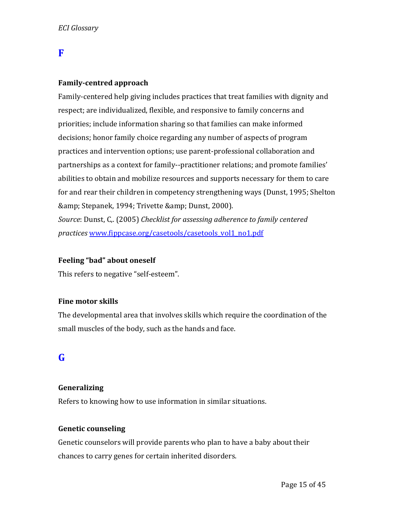## **F**

#### **Family-centred approach**

Family-centered help giving includes practices that treat families with dignity and respect; are individualized, flexible, and responsive to family concerns and priorities; include information sharing so that families can make informed decisions; honor family choice regarding any number of aspects of program practices and intervention options; use parent-professional collaboration and partnerships as a context for family--practitioner relations; and promote families' abilities to obtain and mobilize resources and supports necessary for them to care for and rear their children in competency strengthening ways (Dunst, 1995; Shelton & amp; Stepanek, 1994; Trivette & amp; Dunst, 2000).

*Source*: Dunst, C,. (2005) *Checklist for assessing adherence to family centered practices* [www.fippcase.org/casetools/casetools\\_vol1\\_no1.pdf](http://www.fippcase.org/casetools/casetools_vol1_no1.pdf)

#### **Feeling "bad" about oneself**

This refers to negative "self-esteem".

#### **Fine motor skills**

The developmental area that involves skills which require the coordination of the small muscles of the body, such as the hands and face.

## **G**

#### **Generalizing**

Refers to knowing how to use information in similar situations.

#### **Genetic counseling**

Genetic counselors will provide parents who plan to have a baby about their chances to carry genes for certain inherited disorders.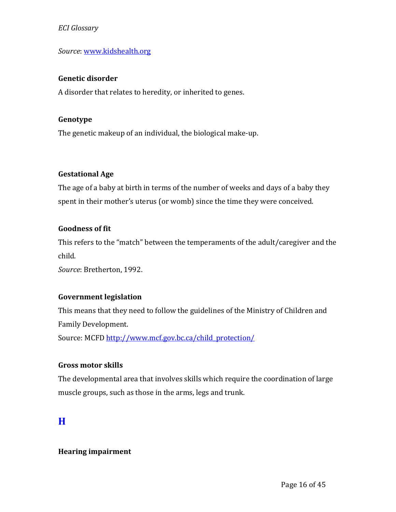#### *Source*[: www.kidshealth.org](http://www.kidshealth.org/)

#### **Genetic disorder**

A disorder that relates to heredity, or inherited to genes.

#### **Genotype**

The genetic makeup of an individual, the biological make-up.

#### **Gestational Age**

The age of a baby at birth in terms of the number of weeks and days of a baby they spent in their mother's uterus (or womb) since the time they were conceived.

#### **Goodness of fit**

This refers to the "match" between the temperaments of the adult/caregiver and the child.

*Source*: Bretherton, 1992.

## **Government legislation**

This means that they need to follow the guidelines of the Ministry of Children and Family Development.

Source: MCFD [http://www.mcf.gov.bc.ca/child\\_protection/](http://www.mcf.gov.bc.ca/child_protection/)

#### **Gross motor skills**

The developmental area that involves skills which require the coordination of large muscle groups, such as those in the arms, legs and trunk.

## **H**

#### **Hearing impairment**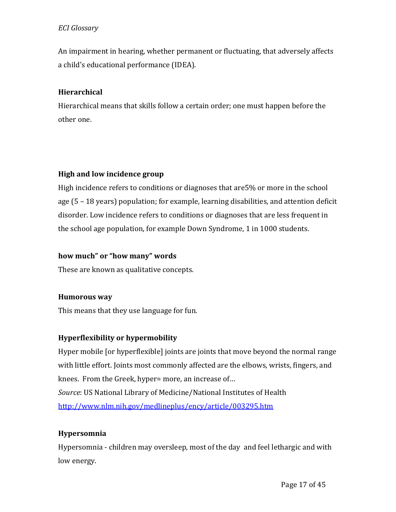An impairment in hearing, whether permanent or fluctuating, that adversely affects a child's educational performance (IDEA).

## **Hierarchical**

Hierarchical means that skills follow a certain order; one must happen before the other one.

## **High and low incidence group**

High incidence refers to conditions or diagnoses that are5% or more in the school age (5 – 18 years) population; for example, learning disabilities, and attention deficit disorder. Low incidence refers to conditions or diagnoses that are less frequent in the school age population, for example Down Syndrome, 1 in 1000 students.

## **how much" or "how many" words**

These are known as qualitative concepts.

## **Humorous way**

This means that they use language for fun.

## **Hyperflexibility or hypermobility**

Hyper mobile [or hyperflexible] joints are joints that move beyond the normal range with little effort. Joints most commonly affected are the elbows, wrists, fingers, and knees. From the Greek, hyper= more, an increase of… *Source*: US National Library of Medicine/National Institutes of Health <http://www.nlm.nih.gov/medlineplus/ency/article/003295.htm>

## **Hypersomnia**

Hypersomnia - children may oversleep, most of the day and feel lethargic and with low energy.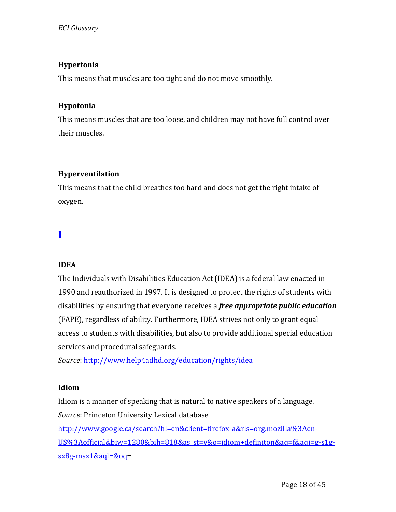## **Hypertonia**

This means that muscles are too tight and do not move smoothly.

## **Hypotonia**

This means muscles that are too loose, and children may not have full control over their muscles.

## **Hyperventilation**

This means that the child breathes too hard and does not get the right intake of oxygen.

# **I**

## **IDEA**

The Individuals with Disabilities Education Act (IDEA) is a federal law enacted in 1990 and reauthorized in 1997. It is designed to protect the rights of students with disabilities by ensuring that everyone receives a *free appropriate public education* (FAPE), regardless of ability. Furthermore, IDEA strives not only to grant equal access to students with disabilities, but also to provide additional special education services and procedural safeguards.

*Source*[: http://www.help4adhd.org/education/rights/idea](http://www.help4adhd.org/education/rights/idea)

## **Idiom**

Idiom is a manner of speaking that is natural to native speakers of a language. *Source*: Princeton University Lexical database

[http://www.google.ca/search?hl=en&client=firefox-a&rls=org.mozilla%3Aen-](http://www.google.ca/search?hl=en&client=firefox-a&rls=org.mozilla%3Aen-US%3Aofficial&biw=1280&bih=818&as_st=y&q=idiom+definiton&aq=f&aqi=g-s1g-sx8g-msx1&aql=&oq)[US%3Aofficial&biw=1280&bih=818&as\\_st=y&q=idiom+definiton&aq=f&aqi=g-s1g](http://www.google.ca/search?hl=en&client=firefox-a&rls=org.mozilla%3Aen-US%3Aofficial&biw=1280&bih=818&as_st=y&q=idiom+definiton&aq=f&aqi=g-s1g-sx8g-msx1&aql=&oq)[sx8g-msx1&aql=&oq=](http://www.google.ca/search?hl=en&client=firefox-a&rls=org.mozilla%3Aen-US%3Aofficial&biw=1280&bih=818&as_st=y&q=idiom+definiton&aq=f&aqi=g-s1g-sx8g-msx1&aql=&oq)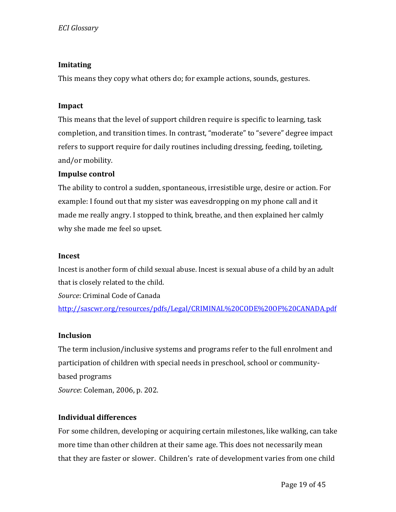## **Imitating**

This means they copy what others do; for example actions, sounds, gestures.

#### **Impact**

This means that the level of support children require is specific to learning, task completion, and transition times. In contrast, "moderate" to "severe" degree impact refers to support require for daily routines including dressing, feeding, toileting, and/or mobility.

#### **Impulse control**

The ability to control a sudden, spontaneous, irresistible urge, desire or action. For example: I found out that my sister was eavesdropping on my phone call and it made me really angry. I stopped to think, breathe, and then explained her calmly why she made me feel so upset.

#### **Incest**

Incest is another form of child sexual abuse. Incest is sexual abuse of a child by an adult that is closely related to the child.

*Source*: Criminal Code of Canada

<http://sascwr.org/resources/pdfs/Legal/CRIMINAL%20CODE%20OF%20CANADA.pdf>

#### **Inclusion**

The term inclusion/inclusive systems and programs refer to the full enrolment and participation of children with special needs in preschool, school or communitybased programs *Source*: Coleman, 2006, p. 202.

## **Individual differences**

For some children, developing or acquiring certain milestones, like walking, can take more time than other children at their same age. This does not necessarily mean that they are faster or slower. Children's rate of development varies from one child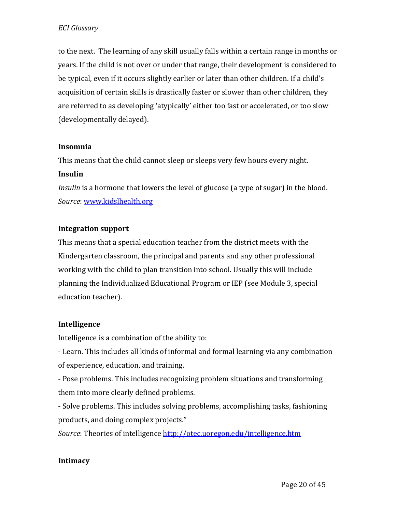to the next. The learning of any skill usually falls within a certain range in months or years. If the child is not over or under that range, their development is considered to be typical, even if it occurs slightly earlier or later than other children. If a child's acquisition of certain skills is drastically faster or slower than other children, they are referred to as developing 'atypically' either too fast or accelerated, or too slow (developmentally delayed).

#### **Insomnia**

This means that the child cannot sleep or sleeps very few hours every night.

## **Insulin**

*Insulin* is a hormone that lowers the level of glucose (a type of sugar) in the blood. *Source*[: www.kidslhealth.org](http://www.kidslhealth.org/)

## **Integration support**

This means that a special education teacher from the district meets with the Kindergarten classroom, the principal and parents and any other professional working with the child to plan transition into school. Usually this will include planning the Individualized Educational Program or IEP (see Module 3, special education teacher).

## **Intelligence**

Intelligence is a combination of the ability to:

- Learn. This includes all kinds of informal and formal learning via any combination of experience, education, and training.

- Pose problems. This includes recognizing problem situations and transforming them into more clearly defined problems.

- Solve problems. This includes solving problems, accomplishing tasks, fashioning products, and doing complex projects."

*Source*: Theories of intelligence<http://otec.uoregon.edu/intelligence.htm>

## **Intimacy**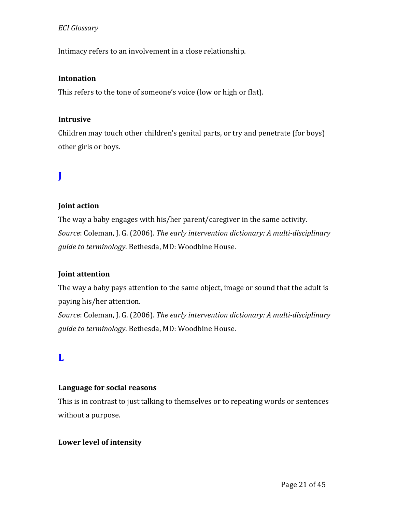Intimacy refers to an involvement in a close relationship.

#### **Intonation**

This refers to the tone of someone's voice (low or high or flat).

#### **Intrusive**

Children may touch other children's genital parts, or try and penetrate (for boys) other girls or boys.

# **J**

## **Joint action**

The way a baby engages with his/her parent/caregiver in the same activity. *Source*: Coleman, J. G. (2006). *The early intervention dictionary: A multi-disciplinary guide to terminology*. Bethesda, MD: Woodbine House.

## **Joint attention**

The way a baby pays attention to the same object, image or sound that the adult is paying his/her attention.

*Source*: Coleman, J. G. (2006). *The early intervention dictionary: A multi-disciplinary guide to terminology*. Bethesda, MD: Woodbine House.

## **L**

#### **Language for social reasons**

This is in contrast to just talking to themselves or to repeating words or sentences without a purpose.

#### **Lower level of intensity**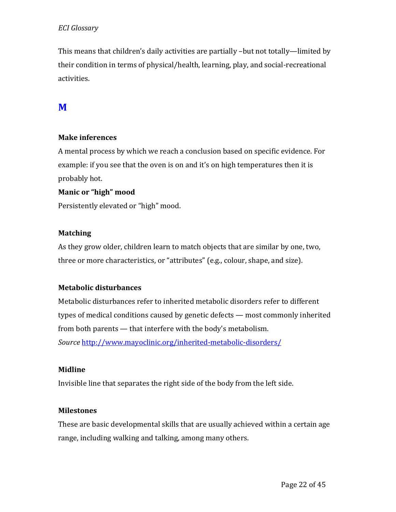This means that children's daily activities are partially –but not totally—limited by their condition in terms of physical/health, learning, play, and social-recreational activities.

# **M**

#### **Make inferences**

A mental process by which we reach a conclusion based on specific evidence. For example: if you see that the oven is on and it's on high temperatures then it is probably hot.

## **Manic or "high" mood**

Persistently elevated or "high" mood.

#### **Matching**

As they grow older, children learn to match objects that are similar by one, two, three or more characteristics, or "attributes" (e.g., colour, shape, and size).

## **Metabolic disturbances**

Metabolic disturbances refer to inherited metabolic disorders refer to different types of medical conditions caused by genetic defects — most commonly inherited from both parents — that interfere with the body's metabolism. *Source* <http://www.mayoclinic.org/inherited-metabolic-disorders/>

#### **Midline**

Invisible line that separates the right side of the body from the left side.

#### **Milestones**

These are basic developmental skills that are usually achieved within a certain age range, including walking and talking, among many others.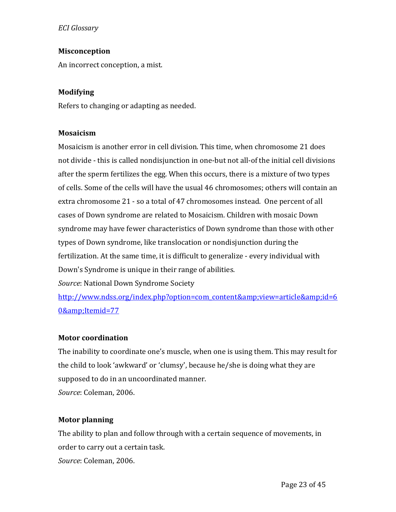#### **Misconception**

An incorrect conception, a mist.

#### **Modifying**

Refers to changing or adapting as needed.

#### **Mosaicism**

Mosaicism is another error in cell division. This time, when chromosome 21 does not divide - this is called nondisjunction in one-but not all-of the initial cell divisions after the sperm fertilizes the egg. When this occurs, there is a mixture of two types of cells. Some of the cells will have the usual 46 chromosomes; others will contain an extra chromosome 21 - so a total of 47 chromosomes instead. One percent of all cases of Down syndrome are related to Mosaicism. Children with mosaic Down syndrome may have fewer characteristics of Down syndrome than those with other types of Down syndrome, like translocation or nondisjunction during the fertilization. At the same time, it is difficult to generalize - every individual with Down's Syndrome is unique in their range of abilities.

*Source*: National Down Syndrome Society

[http://www.ndss.org/index.php?option=com\\_content&view=article&id=6](http://www.ndss.org/index.php?option=com_content&view=article&id=60&Itemid=77) [0&Itemid=77](http://www.ndss.org/index.php?option=com_content&view=article&id=60&Itemid=77)

#### **Motor coordination**

The inability to coordinate one's muscle, when one is using them. This may result for the child to look 'awkward' or 'clumsy', because he/she is doing what they are supposed to do in an uncoordinated manner. *Source*: Coleman, 2006.

## **Motor planning**

The ability to plan and follow through with a certain sequence of movements, in order to carry out a certain task. *Source*: Coleman, 2006.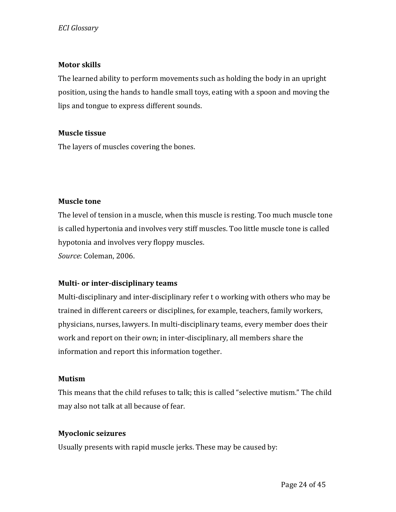#### **Motor skills**

The learned ability to perform movements such as holding the body in an upright position, using the hands to handle small toys, eating with a spoon and moving the lips and tongue to express different sounds.

#### **Muscle tissue**

The layers of muscles covering the bones.

#### **Muscle tone**

The level of tension in a muscle, when this muscle is resting. Too much muscle tone is called hypertonia and involves very stiff muscles. Too little muscle tone is called hypotonia and involves very floppy muscles. *Source*: Coleman, 2006.

## **Multi- or inter-disciplinary teams**

Multi-disciplinary and inter-disciplinary refer t o working with others who may be trained in different careers or disciplines, for example, teachers, family workers, physicians, nurses, lawyers. In multi-disciplinary teams, every member does their work and report on their own; in inter-disciplinary, all members share the information and report this information together.

## **Mutism**

This means that the child refuses to talk; this is called "selective mutism." The child may also not talk at all because of fear.

## **Myoclonic seizures**

Usually presents with rapid muscle jerks. These may be caused by: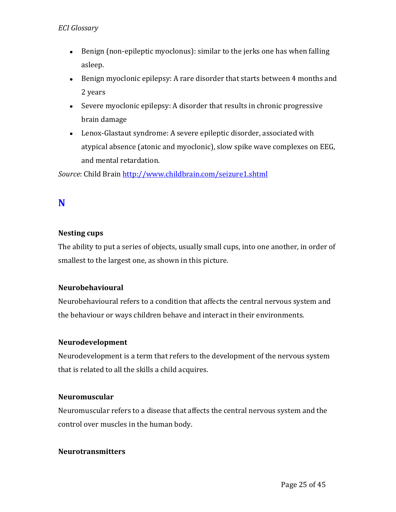- Benign (non-epileptic myoclonus): similar to the jerks one has when falling asleep.
- Benign myoclonic epilepsy: A rare disorder that starts between 4 months and 2 years
- Severe myoclonic epilepsy: A disorder that results in chronic progressive brain damage
- Lenox-Glastaut syndrome: A severe epileptic disorder, associated with atypical absence (atonic and myoclonic), slow spike wave complexes on EEG, and mental retardation.

*Source*: Child Brain<http://www.childbrain.com/seizure1.shtml>

# **N**

## **Nesting cups**

The ability to put a series of objects, usually small cups, into one another, in order of smallest to the largest one, as shown in this picture.

## **Neurobehavioural**

Neurobehavioural refers to a condition that affects the central nervous system and the behaviour or ways children behave and interact in their environments.

## **Neurodevelopment**

Neurodevelopment is a term that refers to the development of the nervous system that is related to all the skills a child acquires.

## **Neuromuscular**

Neuromuscular refers to a disease that affects the central nervous system and the control over muscles in the human body.

#### **Neurotransmitters**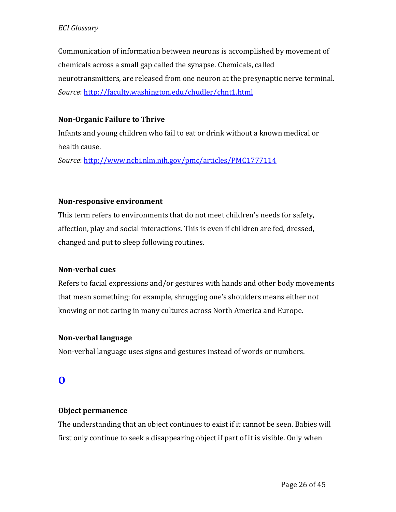Communication of information between neurons is accomplished by movement of chemicals across a small gap called the synapse. Chemicals, called neurotransmitters, are released from one neuron at the presynaptic nerve terminal. *Source*[: http://faculty.washington.edu/chudler/chnt1.html](http://faculty.washington.edu/chudler/chnt1.html)

## **Non-Organic Failure to Thrive**

Infants and young children who fail to eat or drink without a known medical or health cause.

*Source*[: http://www.ncbi.nlm.nih.gov/pmc/articles/PMC1777114](http://www.ncbi.nlm.nih.gov/pmc/articles/PMC1777114)

#### **Non-responsive environment**

This term refers to environments that do not meet children's needs for safety, affection, play and social interactions. This is even if children are fed, dressed, changed and put to sleep following routines.

## **Non-verbal cues**

Refers to facial expressions and/or gestures with hands and other body movements that mean something; for example, shrugging one's shoulders means either not knowing or not caring in many cultures across North America and Europe.

#### **Non-verbal language**

Non-verbal language uses signs and gestures instead of words or numbers.

## **O**

## **Object permanence**

The understanding that an object continues to exist if it cannot be seen. Babies will first only continue to seek a disappearing object if part of it is visible. Only when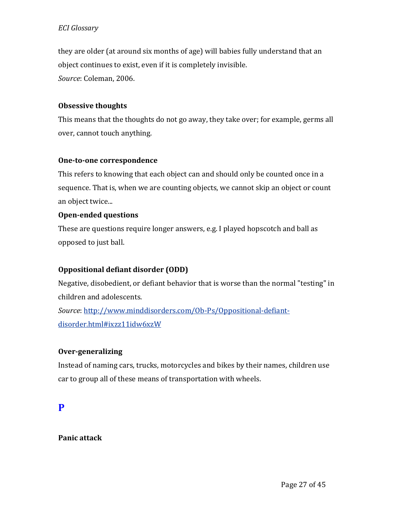they are older (at around six months of age) will babies fully understand that an object continues to exist, even if it is completely invisible. *Source*: Coleman, 2006.

## **Obsessive thoughts**

This means that the thoughts do not go away, they take over; for example, germs all over, cannot touch anything.

#### **One-to-one correspondence**

This refers to knowing that each object can and should only be counted once in a sequence. That is, when we are counting objects, we cannot skip an object or count an object twice...

#### **Open-ended questions**

These are questions require longer answers, e.g. I played hopscotch and ball as opposed to just ball.

## **Oppositional defiant disorder (ODD)**

Negative, disobedient, or defiant behavior that is worse than the normal "testing" in children and adolescents. *Source*[: http://www.minddisorders.com/Ob-Ps/Oppositional-defiant](http://www.minddisorders.com/Ob-Ps/Oppositional-defiant-disorder.html#ixzz11idw6xzW)[disorder.html#ixzz11idw6xzW](http://www.minddisorders.com/Ob-Ps/Oppositional-defiant-disorder.html#ixzz11idw6xzW)

## **Over-generalizing**

Instead of naming cars, trucks, motorcycles and bikes by their names, children use car to group all of these means of transportation with wheels.

## **P**

## **Panic attack**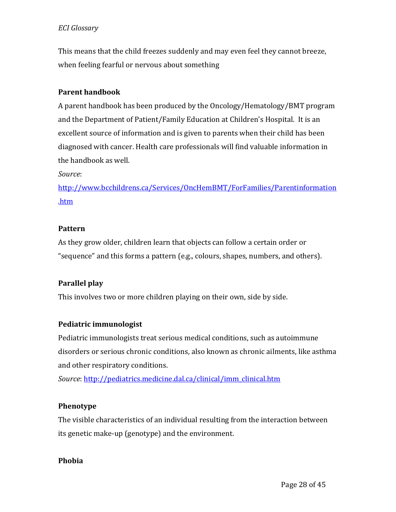This means that the child freezes suddenly and may even feel they cannot breeze, when feeling fearful or nervous about something

## **Parent handbook**

A parent handbook has been produced by the Oncology/Hematology/BMT program and the Department of Patient/Family Education at Children's Hospital. It is an excellent source of information and is given to parents when their child has been diagnosed with cancer. Health care professionals will find valuable information in the handbook as well.

*Source*:

[http://www.bcchildrens.ca/Services/OncHemBMT/ForFamilies/Parentinformation](http://www.bcchildrens.ca/Services/OncHemBMT/ForFamilies/Parentinformation.htm) [.htm](http://www.bcchildrens.ca/Services/OncHemBMT/ForFamilies/Parentinformation.htm)

## **Pattern**

As they grow older, children learn that objects can follow a certain order or "sequence" and this forms a pattern (e.g., colours, shapes, numbers, and others).

## **Parallel play**

This involves two or more children playing on their own, side by side.

## **Pediatric immunologist**

Pediatric immunologists treat serious medical conditions, such as autoimmune disorders or serious chronic conditions, also known as chronic ailments, like asthma and other respiratory conditions.

*Source*[: http://pediatrics.medicine.dal.ca/clinical/imm\\_clinical.htm](http://pediatrics.medicine.dal.ca/clinical/imm_clinical.htm)

## **Phenotype**

The visible characteristics of an individual resulting from the interaction between its genetic make-up (genotype) and the environment.

## **Phobia**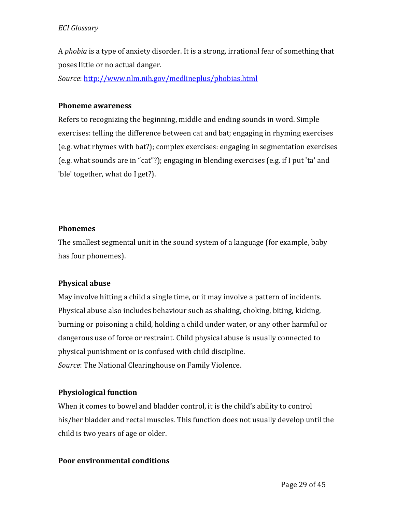A *phobia* is a type of anxiety disorder. It is a strong, irrational fear of something that poses little or no actual danger.

*Source*[: http://www.nlm.nih.gov/medlineplus/phobias.html](http://www.nlm.nih.gov/medlineplus/phobias.html)

#### **Phoneme awareness**

Refers to recognizing the beginning, middle and ending sounds in word. Simple exercises: telling the difference between cat and bat; engaging in rhyming exercises (e.g. what rhymes with bat?); complex exercises: engaging in segmentation exercises (e.g. what sounds are in "cat"?); engaging in blending exercises (e.g. if I put 'ta' and 'ble' together, what do I get?).

#### **Phonemes**

The smallest segmental unit in the sound system of a language (for example, baby has four phonemes).

## **Physical abuse**

May involve hitting a child a single time, or it may involve a pattern of incidents. Physical abuse also includes behaviour such as shaking, choking, biting, kicking, burning or poisoning a child, holding a child under water, or any other harmful or dangerous use of force or restraint. Child physical abuse is usually connected to physical punishment or is confused with child discipline. *Source*: The National Clearinghouse on Family Violence.

## **Physiological function**

When it comes to bowel and bladder control, it is the child's ability to control his/her bladder and rectal muscles. This function does not usually develop until the child is two years of age or older.

## **Poor environmental conditions**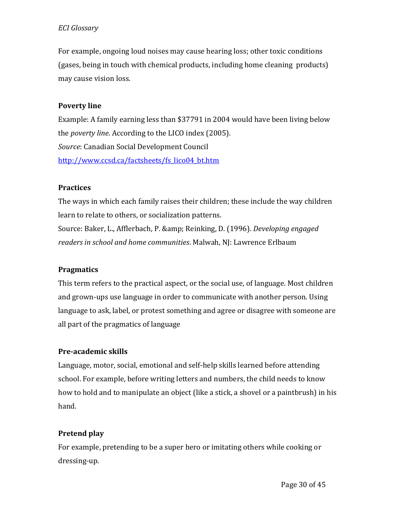For example, ongoing loud noises may cause hearing loss; other toxic conditions (gases, being in touch with chemical products, including home cleaning products) may cause vision loss.

#### **Poverty line**

Example: A family earning less than \$37791 in 2004 would have been living below the *poverty line*. According to the LICO index (2005). *Source*: Canadian Social Development Council [http://www.ccsd.ca/factsheets/fs\\_lico04\\_bt.htm](http://www.ccsd.ca/factsheets/fs_lico04_bt.htm)

#### **Practices**

The ways in which each family raises their children; these include the way children learn to relate to others, or socialization patterns. Source: Baker, L., Afflerbach, P. & Reinking, D. (1996). *Developing engaged readers in school and home communities*. Malwah, NJ: Lawrence Erlbaum

#### **Pragmatics**

This term refers to the practical aspect, or the social use, of language. Most children and grown-ups use language in order to communicate with another person. Using language to ask, label, or protest something and agree or disagree with someone are all part of the pragmatics of language

## **Pre-academic skills**

Language, motor, social, emotional and self-help skills learned before attending school. For example, before writing letters and numbers, the child needs to know how to hold and to manipulate an object (like a stick, a shovel or a paintbrush) in his hand.

## **Pretend play**

For example, pretending to be a super hero or imitating others while cooking or dressing-up.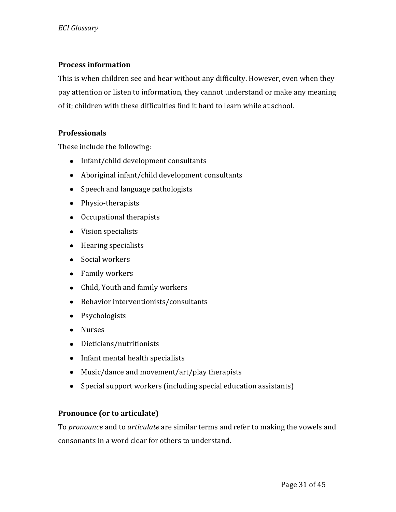#### **Process information**

This is when children see and hear without any difficulty. However, even when they pay attention or listen to information, they cannot understand or make any meaning of it; children with these difficulties find it hard to learn while at school.

#### **Professionals**

These include the following:

- Infant/child development consultants
- Aboriginal infant/child development consultants
- Speech and language pathologists
- Physio-therapists
- Occupational therapists
- Vision specialists
- Hearing specialists
- Social workers
- Family workers
- Child, Youth and family workers
- Behavior interventionists/consultants
- Psychologists
- Nurses
- Dieticians/nutritionists
- Infant mental health specialists
- Music/dance and movement/art/play therapists
- Special support workers (including special education assistants)

## **Pronounce (or to articulate)**

To *pronounce* and to *articulate* are similar terms and refer to making the vowels and consonants in a word clear for others to understand.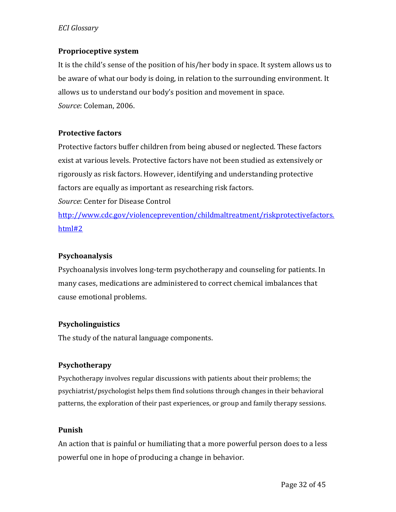#### **Proprioceptive system**

It is the child's sense of the position of his/her body in space. It system allows us to be aware of what our body is doing, in relation to the surrounding environment. It allows us to understand our body's position and movement in space. *Source*: Coleman, 2006.

#### **Protective factors**

Protective factors buffer children from being abused or neglected. These factors exist at various levels. Protective factors have not been studied as extensively or rigorously as risk factors. However, identifying and understanding protective factors are equally as important as researching risk factors. *Source*: Center for Disease Control [http://www.cdc.gov/violenceprevention/childmaltreatment/riskprotectivefactors.](http://www.cdc.gov/violenceprevention/childmaltreatment/riskprotectivefactors.html#2)

[html#2](http://www.cdc.gov/violenceprevention/childmaltreatment/riskprotectivefactors.html#2)

## **Psychoanalysis**

Psychoanalysis involves long-term psychotherapy and counseling for patients. In many cases, medications are administered to correct chemical imbalances that cause emotional problems.

## **Psycholinguistics**

The study of the natural language components.

## **Psychotherapy**

Psychotherapy involves regular discussions with patients about their problems; the psychiatrist/psychologist helps them find solutions through changes in their behavioral patterns, the exploration of their past experiences, or group and family therapy sessions.

## **Punish**

An action that is painful or humiliating that a more powerful person does to a less powerful one in hope of producing a change in behavior.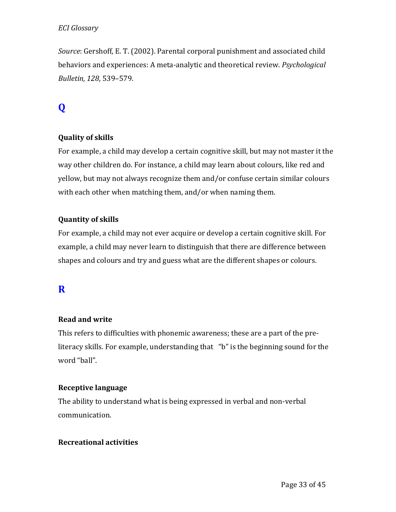*Source*: Gershoff, E. T. (2002). Parental corporal punishment and associated child behaviors and experiences: A meta-analytic and theoretical review. *Psychological Bulletin, 128*, 539–579.

# **Q**

## **Quality of skills**

For example, a child may develop a certain cognitive skill, but may not master it the way other children do. For instance, a child may learn about colours, like red and yellow, but may not always recognize them and/or confuse certain similar colours with each other when matching them, and/or when naming them.

#### **Quantity of skills**

For example, a child may not ever acquire or develop a certain cognitive skill. For example, a child may never learn to distinguish that there are difference between shapes and colours and try and guess what are the different shapes or colours.

## **R**

#### **Read and write**

This refers to difficulties with phonemic awareness; these are a part of the preliteracy skills. For example, understanding that "b" is the beginning sound for the word "ball".

#### **Receptive language**

The ability to understand what is being expressed in verbal and non-verbal communication.

#### **Recreational activities**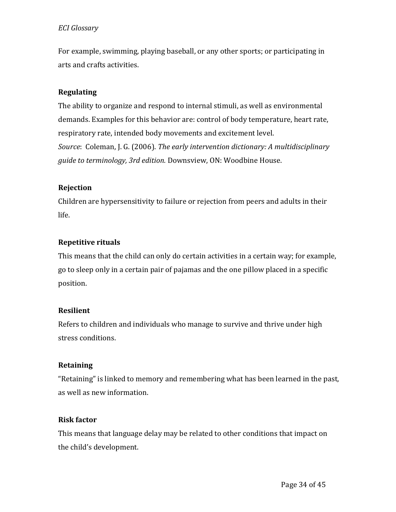For example, swimming, playing baseball, or any other sports; or participating in arts and crafts activities.

## **Regulating**

The ability to organize and respond to internal stimuli, as well as environmental demands. Examples for this behavior are: control of body temperature, heart rate, respiratory rate, intended body movements and excitement level. *Source*: Coleman, J. G. (2006). *The early intervention dictionary: A multidisciplinary guide to terminology, 3rd edition.* Downsview, ON: Woodbine House.

## **Rejection**

Children are hypersensitivity to failure or rejection from peers and adults in their life.

## **Repetitive rituals**

This means that the child can only do certain activities in a certain way; for example, go to sleep only in a certain pair of pajamas and the one pillow placed in a specific position.

## **Resilient**

Refers to children and individuals who manage to survive and thrive under high stress conditions.

## **Retaining**

"Retaining" is linked to memory and remembering what has been learned in the past, as well as new information.

## **Risk factor**

This means that language delay may be related to other conditions that impact on the child's development.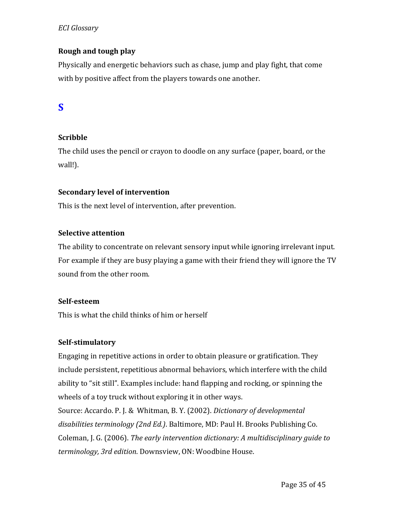## **Rough and tough play**

Physically and energetic behaviors such as chase, jump and play fight, that come with by positive affect from the players towards one another.

# **S**

## **Scribble**

The child uses the pencil or crayon to doodle on any surface (paper, board, or the wall!).

## **Secondary level of intervention**

This is the next level of intervention, after prevention.

#### **Selective attention**

The ability to concentrate on relevant sensory input while ignoring irrelevant input. For example if they are busy playing a game with their friend they will ignore the TV sound from the other room.

#### **Self-esteem**

This is what the child thinks of him or herself

## **Self-stimulatory**

Engaging in repetitive actions in order to obtain pleasure or gratification. They include persistent, repetitious abnormal behaviors, which interfere with the child ability to "sit still". Examples include: hand flapping and rocking, or spinning the wheels of a toy truck without exploring it in other ways.

Source: Accardo. P. J. & Whitman, B. Y. (2002). *Dictionary of developmental disabilities terminology (2nd Ed.)*. Baltimore, MD: Paul H. Brooks Publishing Co. Coleman, J. G. (2006). *The early intervention dictionary: A multidisciplinary guide to terminology, 3rd edition*. Downsview, ON: Woodbine House.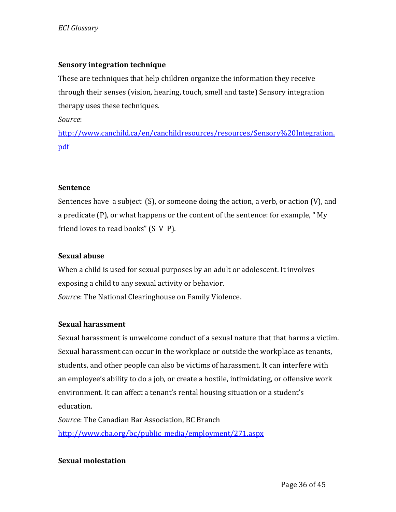## **Sensory integration technique**

These are techniques that help children organize the information they receive through their senses (vision, hearing, touch, smell and taste) Sensory integration therapy uses these techniques.

*Source*:

[http://www.canchild.ca/en/canchildresources/resources/Sensory%20Integration.](http://www.canchild.ca/en/canchildresources/resources/Sensory%20Integration.pdf) [pdf](http://www.canchild.ca/en/canchildresources/resources/Sensory%20Integration.pdf)

#### **Sentence**

Sentences have a subject (S), or someone doing the action, a verb, or action (V), and a predicate (P), or what happens or the content of the sentence: for example, " My friend loves to read books" (S V P).

#### **Sexual abuse**

When a child is used for sexual purposes by an adult or adolescent. It involves exposing a child to any sexual activity or behavior. *Source*: The National Clearinghouse on Family Violence.

#### **Sexual harassment**

Sexual harassment is unwelcome conduct of a sexual nature that that harms a victim. Sexual harassment can occur in the workplace or outside the workplace as tenants, students, and other people can also be victims of harassment. It can interfere with an employee's ability to do a job, or create a hostile, intimidating, or offensive work environment. It can affect a tenant's rental housing situation or a student's education.

*Source*: The Canadian Bar Association, BC Branch [http://www.cba.org/bc/public\\_media/employment/271.aspx](http://www.cba.org/bc/public_media/employment/271.aspx)

## **Sexual molestation**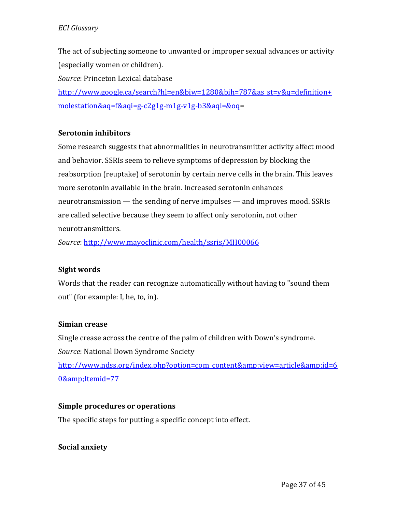The act of subjecting someone to unwanted or improper sexual advances or activity (especially women or children).

*Source*: Princeton Lexical database

[http://www.google.ca/search?hl=en&biw=1280&bih=787&as\\_st=y&q=definition+](http://www.google.ca/search?hl=en&biw=1280&bih=787&as_st=y&q=definition+molestation&aq=f&aqi=g-c2g1g-m1g-v1g-b3&aql=&oq) [molestation&aq=f&aqi=g-c2g1g-m1g-v1g-b3&aql=&oq=](http://www.google.ca/search?hl=en&biw=1280&bih=787&as_st=y&q=definition+molestation&aq=f&aqi=g-c2g1g-m1g-v1g-b3&aql=&oq)

## **Serotonin inhibitors**

Some research suggests that abnormalities in neurotransmitter activity affect mood and behavior. SSRIs seem to relieve symptoms of depression by blocking the reabsorption (reuptake) of serotonin by certain nerve cells in the brain. This leaves more serotonin available in the brain. Increased serotonin enhances neurotransmission — the sending of nerve impulses — and improves mood. SSRIs are called selective because they seem to affect only serotonin, not other neurotransmitters.

*Source*[: http://www.mayoclinic.com/health/ssris/MH00066](http://www.mayoclinic.com/health/ssris/MH00066)

#### **Sight words**

Words that the reader can recognize automatically without having to "sound them out" (for example: I, he, to, in).

#### **Simian crease**

Single crease across the centre of the palm of children with Down's syndrome. *Source*: National Down Syndrome Society http://www.ndss.org/index.php?option=com\_content&yiew=article&id=6 [0&Itemid=77](http://www.ndss.org/index.php?option=com_content&view=article&id=60&Itemid=77)

#### **Simple procedures or operations**

The specific steps for putting a specific concept into effect.

#### **Social anxiety**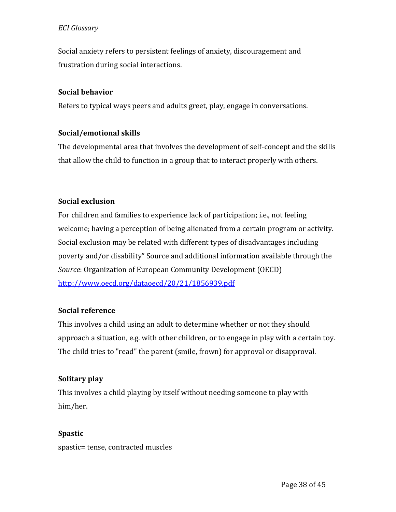Social anxiety refers to persistent feelings of anxiety, discouragement and frustration during social interactions.

#### **Social behavior**

Refers to typical ways peers and adults greet, play, engage in conversations.

## **Social/emotional skills**

The developmental area that involves the development of self-concept and the skills that allow the child to function in a group that to interact properly with others.

## **Social exclusion**

For children and families to experience lack of participation; i.e., not feeling welcome; having a perception of being alienated from a certain program or activity. Social exclusion may be related with different types of disadvantages including poverty and/or disability" Source and additional information available through the *Source*: Organization of European Community Development (OECD) <http://www.oecd.org/dataoecd/20/21/1856939.pdf>

## **Social reference**

This involves a child using an adult to determine whether or not they should approach a situation, e.g. with other children, or to engage in play with a certain toy. The child tries to "read" the parent (smile, frown) for approval or disapproval.

## **Solitary play**

This involves a child playing by itself without needing someone to play with him/her.

## **Spastic**

spastic= tense, contracted muscles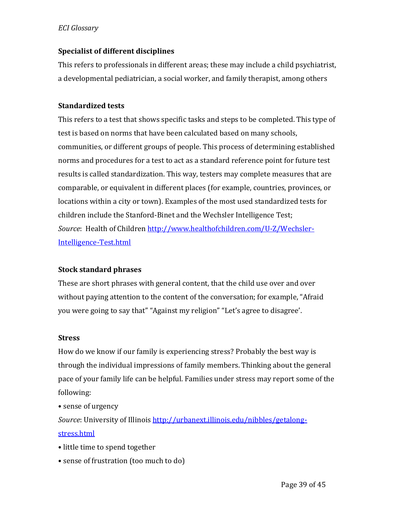#### **Specialist of different disciplines**

This refers to professionals in different areas; these may include a child psychiatrist, a developmental pediatrician, a social worker, and family therapist, among others

#### **Standardized tests**

This refers to a test that shows specific tasks and steps to be completed. This type of test is based on norms that have been calculated based on many schools, communities, or different groups of people. This process of determining established norms and procedures for a test to act as a standard reference point for future test results is called standardization. This way, testers may complete measures that are comparable, or equivalent in different places (for example, countries, provinces, or locations within a city or town). Examples of the most used standardized tests for children include the Stanford-Binet and the Wechsler Intelligence Test; *Source*: Health of Children [http://www.healthofchildren.com/U-Z/Wechsler-](http://www.healthofchildren.com/U-Z/Wechsler-Intelligence-Test.html)[Intelligence-Test.html](http://www.healthofchildren.com/U-Z/Wechsler-Intelligence-Test.html)

#### **Stock standard phrases**

These are short phrases with general content, that the child use over and over without paying attention to the content of the conversation; for example, "Afraid you were going to say that" "Against my religion" "Let's agree to disagree'.

#### **Stress**

How do we know if our family is experiencing stress? Probably the best way is through the individual impressions of family members. Thinking about the general pace of your family life can be helpful. Families under stress may report some of the following:

• sense of urgency

*Source*: University of Illinois [http://urbanext.illinois.edu/nibbles/getalong](http://urbanext.illinois.edu/nibbles/getalong-stress.html)[stress.html](http://urbanext.illinois.edu/nibbles/getalong-stress.html)

- little time to spend together
- sense of frustration (too much to do)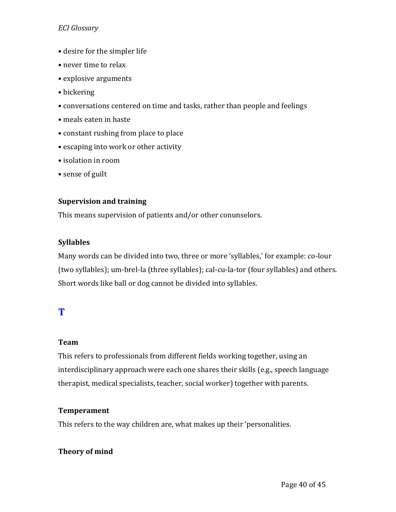- desire for the simpler life
- never time to relax
- explosive arguments
- bickering
- conversations centered on time and tasks, rather than people and feelings
- meals eaten in haste
- constant rushing from place to place
- escaping into work or other activity
- isolation in room
- sense of guilt

#### **Supervision and training**

This means supervision of patients and/or other conunselors.

#### **Syllables**

Many words can be divided into two, three or more 'syllables,' for example: co-lour (two syllables); um-brel-la (three syllables); cal-cu-la-tor (four syllables) and others. Short words like ball or dog cannot be divided into syllables.

# **T**

## **Team**

This refers to professionals from different fields working together, using an interdisciplinary approach were each one shares their skills (e.g., speech language therapist, medical specialists, teacher, social worker) together with parents.

## **Temperament**

This refers to the way children are, what makes up their 'personalities.

## **Theory of mind**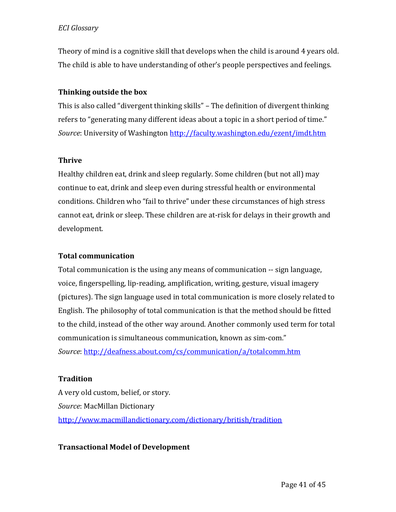Theory of mind is a cognitive skill that develops when the child is around 4 years old. The child is able to have understanding of other's people perspectives and feelings.

#### **Thinking outside the box**

This is also called "divergent thinking skills" – The definition of divergent thinking refers to "generating many different ideas about a topic in a short period of time." *Source*: University of Washington <http://faculty.washington.edu/ezent/imdt.htm>

#### **Thrive**

Healthy children eat, drink and sleep regularly. Some children (but not all) may continue to eat, drink and sleep even during stressful health or environmental conditions. Children who "fail to thrive" under these circumstances of high stress cannot eat, drink or sleep. These children are at-risk for delays in their growth and development.

#### **Total communication**

Total communication is the using any means of communication -- sign language, voice, fingerspelling, lip-reading, amplification, writing, gesture, visual imagery (pictures). The sign language used in total communication is more closely related to English. The philosophy of total communication is that the method should be fitted to the child, instead of the other way around. Another commonly used term for total communication is simultaneous communication, known as sim-com." *Source*[: http://deafness.about.com/cs/communication/a/totalcomm.htm](http://deafness.about.com/cs/communication/a/totalcomm.htm)

## **Tradition**

A very old custom, belief, or story. *Source*: MacMillan Dictionary <http://www.macmillandictionary.com/dictionary/british/tradition>

## **Transactional Model of Development**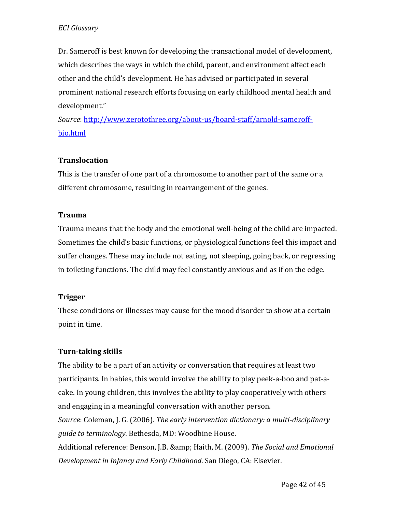Dr. Sameroff is best known for developing the transactional model of development, which describes the ways in which the child, parent, and environment affect each other and the child's development. He has advised or participated in several prominent national research efforts focusing on early childhood mental health and development."

*Source*[: http://www.zerotothree.org/about-us/board-staff/arnold-sameroff](http://www.zerotothree.org/about-us/board-staff/arnold-sameroff-bio.html)[bio.html](http://www.zerotothree.org/about-us/board-staff/arnold-sameroff-bio.html)

## **Translocation**

This is the transfer of one part of a chromosome to another part of the same or a different chromosome, resulting in rearrangement of the genes.

#### **Trauma**

Trauma means that the body and the emotional well-being of the child are impacted. Sometimes the child's basic functions, or physiological functions feel this impact and suffer changes. These may include not eating, not sleeping, going back, or regressing in toileting functions. The child may feel constantly anxious and as if on the edge.

## **Trigger**

These conditions or illnesses may cause for the mood disorder to show at a certain point in time.

## **Turn-taking skills**

The ability to be a part of an activity or conversation that requires at least two participants. In babies, this would involve the ability to play peek-a-boo and pat-acake. In young children, this involves the ability to play cooperatively with others and engaging in a meaningful conversation with another person. *Source*: Coleman, J. G. (2006). *The early intervention dictionary: a multi-disciplinary* 

*guide to terminology*. Bethesda, MD: Woodbine House.

Additional reference: Benson, J.B. & Haith, M. (2009). *The Social and Emotional Development in Infancy and Early Childhood*. San Diego, CA: Elsevier.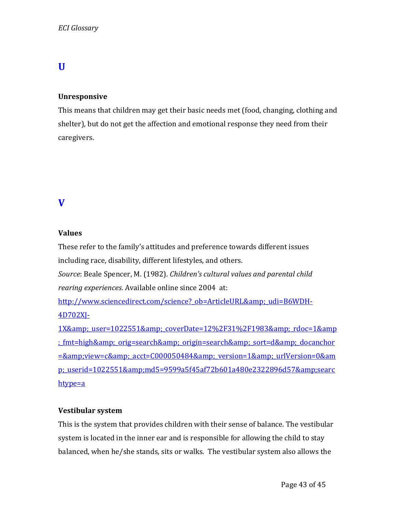# **U**

#### **Unresponsive**

This means that children may get their basic needs met (food, changing, clothing and shelter), but do not get the affection and emotional response they need from their caregivers.

## **V**

#### **Values**

These refer to the family's attitudes and preference towards different issues including race, disability, different lifestyles, and others.

*Source*: Beale Spencer, M. (1982). *Children's cultural values and parental child rearing experiences*. Available online since 2004 at:

http://www.sciencedirect.com/science? ob=ArticleURL& udi=B6WDH-[4D702XJ-](http://www.sciencedirect.com/science?_ob=ArticleURL&_udi=B6WDH-4D702XJ-1X&_user=1022551&_coverDate=12%2F31%2F1983&_rdoc=1&_fmt=high&_orig=search&_origin=search&_sort=d&_docanchor=&view=c&_acct=C000050484&_ver)

1X& user=1022551& coverDate=12%2F31%2F1983& rdoc=1&amp ; fmt=high& orig=search& origin=search& sort=d& docanchor =&view=c& acct=C000050484& version=1& urlVersion=0&am p; userid=1022551&md5=9599a5f45af72b601a480e2322896d57&searc [htype=a](http://www.sciencedirect.com/science?_ob=ArticleURL&_udi=B6WDH-4D702XJ-1X&_user=1022551&_coverDate=12%2F31%2F1983&_rdoc=1&_fmt=high&_orig=search&_origin=search&_sort=d&_docanchor=&view=c&_acct=C000050484&_ver)

## **Vestibular system**

This is the system that provides children with their sense of balance. The vestibular system is located in the inner ear and is responsible for allowing the child to stay balanced, when he/she stands, sits or walks. The vestibular system also allows the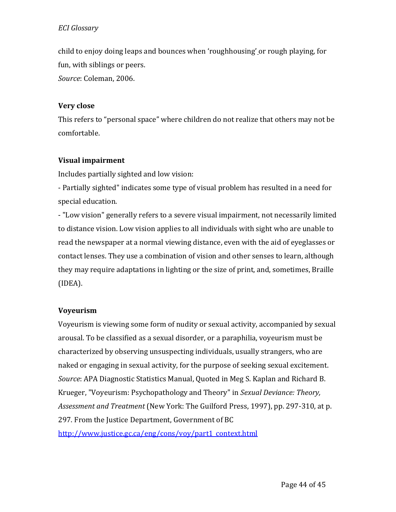child to enjoy doing leaps and bounces when 'roughhousing' or rough playing, for fun, with siblings or peers. *Source*: Coleman, 2006.

## **Very close**

This refers to "personal space" where children do not realize that others may not be comfortable.

## **Visual impairment**

Includes partially sighted and low vision:

- Partially sighted" indicates some type of visual problem has resulted in a need for special education.

- "Low vision" generally refers to a severe visual impairment, not necessarily limited to distance vision. Low vision applies to all individuals with sight who are unable to read the newspaper at a normal viewing distance, even with the aid of eyeglasses or contact lenses. They use a combination of vision and other senses to learn, although they may require adaptations in lighting or the size of print, and, sometimes, Braille (IDEA).

## **Voyeurism**

Voyeurism is viewing some form of nudity or sexual activity, accompanied by sexual arousal. To be classified as a sexual disorder, or a paraphilia, voyeurism must be characterized by observing unsuspecting individuals, usually strangers, who are naked or engaging in sexual activity, for the purpose of seeking sexual excitement. *Source*: APA Diagnostic Statistics Manual, Quoted in Meg S. Kaplan and Richard B. Krueger, "Voyeurism: Psychopathology and Theory" in *Sexual Deviance: Theory, Assessment and Treatment* (New York: The Guilford Press, 1997), pp. 297-310, at p. 297. From the Justice Department, Government of BC [http://www.justice.gc.ca/eng/cons/voy/part1\\_context.html](http://www.justice.gc.ca/eng/cons/voy/part1_context.html)